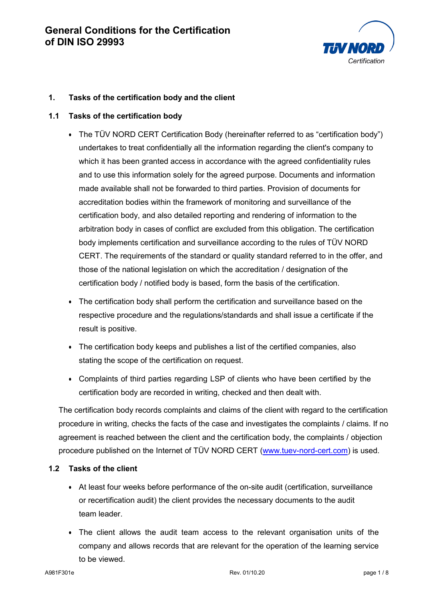

## **1. Tasks of the certification body and the client**

## **1.1 Tasks of the certification body**

- The TÜV NORD CERT Certification Body (hereinafter referred to as "certification body") undertakes to treat confidentially all the information regarding the client's company to which it has been granted access in accordance with the agreed confidentiality rules and to use this information solely for the agreed purpose. Documents and information made available shall not be forwarded to third parties. Provision of documents for accreditation bodies within the framework of monitoring and surveillance of the certification body, and also detailed reporting and rendering of information to the arbitration body in cases of conflict are excluded from this obligation. The certification body implements certification and surveillance according to the rules of TÜV NORD CERT. The requirements of the standard or quality standard referred to in the offer, and those of the national legislation on which the accreditation / designation of the certification body / notified body is based, form the basis of the certification.
- The certification body shall perform the certification and surveillance based on the respective procedure and the regulations/standards and shall issue a certificate if the result is positive.
- The certification body keeps and publishes a list of the certified companies, also stating the scope of the certification on request.
- Complaints of third parties regarding LSP of clients who have been certified by the certification body are recorded in writing, checked and then dealt with.

The certification body records complaints and claims of the client with regard to the certification procedure in writing, checks the facts of the case and investigates the complaints / claims. If no agreement is reached between the client and the certification body, the complaints / objection procedure published on the Internet of TÜV NORD CERT [\(www.tuev-nord-cert.com\)](http://www.tuev-nord-cert.de/) is used.

## **1.2 Tasks of the client**

- At least four weeks before performance of the on-site audit (certification, surveillance or recertification audit) the client provides the necessary documents to the audit team leader.
- The client allows the audit team access to the relevant organisation units of the company and allows records that are relevant for the operation of the learning service to be viewed.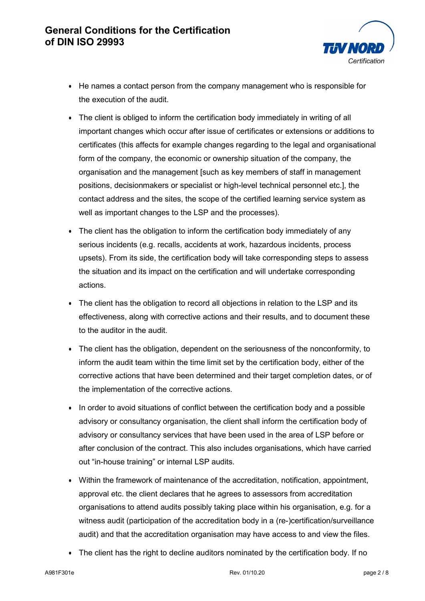## **General Conditions for the Certification of DIN ISO 29993**



- He names a contact person from the company management who is responsible for the execution of the audit.
- The client is obliged to inform the certification body immediately in writing of all important changes which occur after issue of certificates or extensions or additions to certificates (this affects for example changes regarding to the legal and organisational form of the company, the economic or ownership situation of the company, the organisation and the management [such as key members of staff in management positions, decisionmakers or specialist or high-level technical personnel etc.], the contact address and the sites, the scope of the certified learning service system as well as important changes to the LSP and the processes).
- The client has the obligation to inform the certification body immediately of any serious incidents (e.g. recalls, accidents at work, hazardous incidents, process upsets). From its side, the certification body will take corresponding steps to assess the situation and its impact on the certification and will undertake corresponding actions.
- The client has the obligation to record all objections in relation to the LSP and its effectiveness, along with corrective actions and their results, and to document these to the auditor in the audit.
- The client has the obligation, dependent on the seriousness of the nonconformity, to inform the audit team within the time limit set by the certification body, either of the corrective actions that have been determined and their target completion dates, or of the implementation of the corrective actions.
- In order to avoid situations of conflict between the certification body and a possible advisory or consultancy organisation, the client shall inform the certification body of advisory or consultancy services that have been used in the area of LSP before or after conclusion of the contract. This also includes organisations, which have carried out "in-house training" or internal LSP audits.
- Within the framework of maintenance of the accreditation, notification, appointment, approval etc. the client declares that he agrees to assessors from accreditation organisations to attend audits possibly taking place within his organisation, e.g. for a witness audit (participation of the accreditation body in a (re-)certification/surveillance audit) and that the accreditation organisation may have access to and view the files.
- The client has the right to decline auditors nominated by the certification body. If no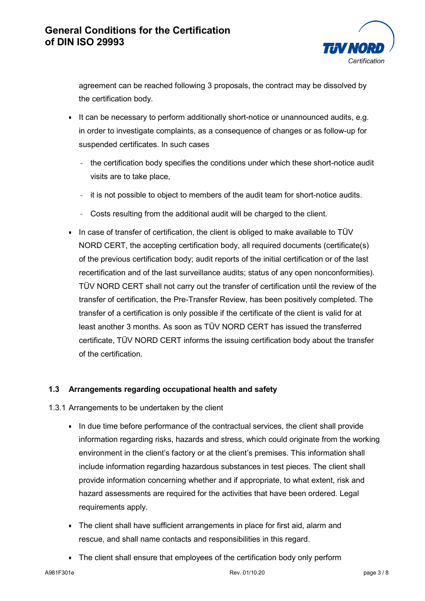

agreement can be reached following 3 proposals, the contract may be dissolved by the certification body.

- It can be necessary to perform additionally short-notice or unannounced audits, e.g. in order to investigate complaints, as a consequence of changes or as follow-up for suspended certificates. In such cases
	- <sup>−</sup> the certification body specifies the conditions under which these short-notice audit visits are to take place,
	- <sup>−</sup> it is not possible to object to members of the audit team for short-notice audits.
	- <sup>−</sup> Costs resulting from the additional audit will be charged to the client.
- In case of transfer of certification, the client is obliged to make available to TÜV NORD CERT, the accepting certification body, all required documents (certificate(s) of the previous certification body; audit reports of the initial certification or of the last recertification and of the last surveillance audits; status of any open nonconformities). TÜV NORD CERT shall not carry out the transfer of certification until the review of the transfer of certification, the Pre-Transfer Review, has been positively completed. The transfer of a certification is only possible if the certificate of the client is valid for at least another 3 months. As soon as TÜV NORD CERT has issued the transferred certificate, TÜV NORD CERT informs the issuing certification body about the transfer of the certification.

## **1.3 Arrangements regarding occupational health and safety**

- 1.3.1 Arrangements to be undertaken by the client
	- In due time before performance of the contractual services, the client shall provide information regarding risks, hazards and stress, which could originate from the working environment in the client's factory or at the client's premises. This information shall include information regarding hazardous substances in test pieces. The client shall provide information concerning whether and if appropriate, to what extent, risk and hazard assessments are required for the activities that have been ordered. Legal requirements apply.
	- The client shall have sufficient arrangements in place for first aid, alarm and rescue, and shall name contacts and responsibilities in this regard.
	- The client shall ensure that employees of the certification body only perform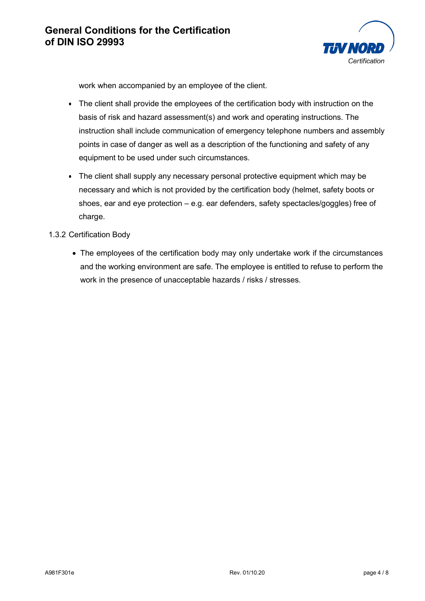

work when accompanied by an employee of the client.

- The client shall provide the employees of the certification body with instruction on the basis of risk and hazard assessment(s) and work and operating instructions. The instruction shall include communication of emergency telephone numbers and assembly points in case of danger as well as a description of the functioning and safety of any equipment to be used under such circumstances.
- The client shall supply any necessary personal protective equipment which may be necessary and which is not provided by the certification body (helmet, safety boots or shoes, ear and eye protection – e.g. ear defenders, safety spectacles/goggles) free of charge.

## 1.3.2 Certification Body

• The employees of the certification body may only undertake work if the circumstances and the working environment are safe. The employee is entitled to refuse to perform the work in the presence of unacceptable hazards / risks / stresses.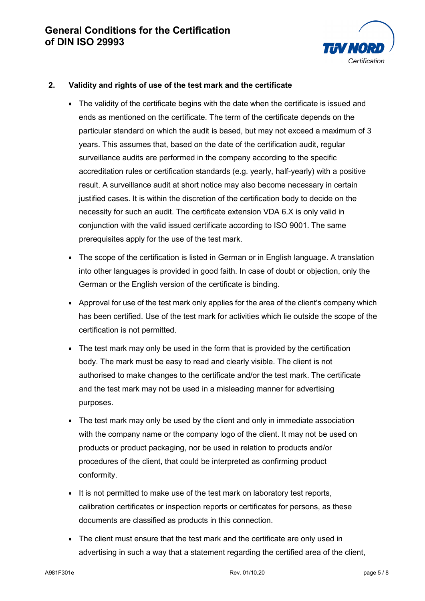

## **2. Validity and rights of use of the test mark and the certificate**

- The validity of the certificate begins with the date when the certificate is issued and ends as mentioned on the certificate. The term of the certificate depends on the particular standard on which the audit is based, but may not exceed a maximum of 3 years. This assumes that, based on the date of the certification audit, regular surveillance audits are performed in the company according to the specific accreditation rules or certification standards (e.g. yearly, half-yearly) with a positive result. A surveillance audit at short notice may also become necessary in certain justified cases. It is within the discretion of the certification body to decide on the necessity for such an audit. The certificate extension VDA 6.X is only valid in conjunction with the valid issued certificate according to ISO 9001. The same prerequisites apply for the use of the test mark.
- The scope of the certification is listed in German or in English language. A translation into other languages is provided in good faith. In case of doubt or objection, only the German or the English version of the certificate is binding.
- Approval for use of the test mark only applies for the area of the client's company which has been certified. Use of the test mark for activities which lie outside the scope of the certification is not permitted.
- The test mark may only be used in the form that is provided by the certification body. The mark must be easy to read and clearly visible. The client is not authorised to make changes to the certificate and/or the test mark. The certificate and the test mark may not be used in a misleading manner for advertising purposes.
- The test mark may only be used by the client and only in immediate association with the company name or the company logo of the client. It may not be used on products or product packaging, nor be used in relation to products and/or procedures of the client, that could be interpreted as confirming product conformity.
- It is not permitted to make use of the test mark on laboratory test reports, calibration certificates or inspection reports or certificates for persons, as these documents are classified as products in this connection.
- The client must ensure that the test mark and the certificate are only used in advertising in such a way that a statement regarding the certified area of the client,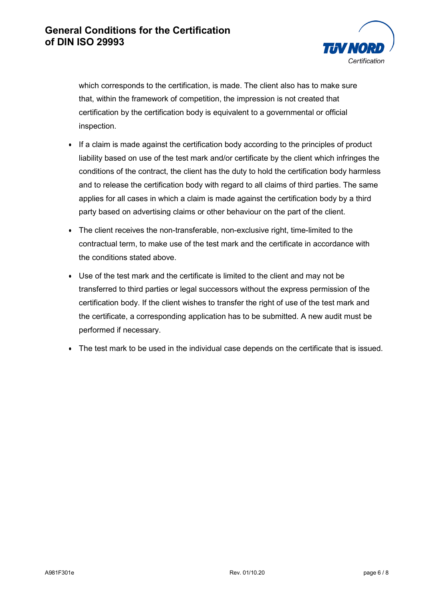

which corresponds to the certification, is made. The client also has to make sure that, within the framework of competition, the impression is not created that certification by the certification body is equivalent to a governmental or official inspection.

- If a claim is made against the certification body according to the principles of product liability based on use of the test mark and/or certificate by the client which infringes the conditions of the contract, the client has the duty to hold the certification body harmless and to release the certification body with regard to all claims of third parties. The same applies for all cases in which a claim is made against the certification body by a third party based on advertising claims or other behaviour on the part of the client.
- The client receives the non-transferable, non-exclusive right, time-limited to the contractual term, to make use of the test mark and the certificate in accordance with the conditions stated above.
- Use of the test mark and the certificate is limited to the client and may not be transferred to third parties or legal successors without the express permission of the certification body. If the client wishes to transfer the right of use of the test mark and the certificate, a corresponding application has to be submitted. A new audit must be performed if necessary.
- The test mark to be used in the individual case depends on the certificate that is issued.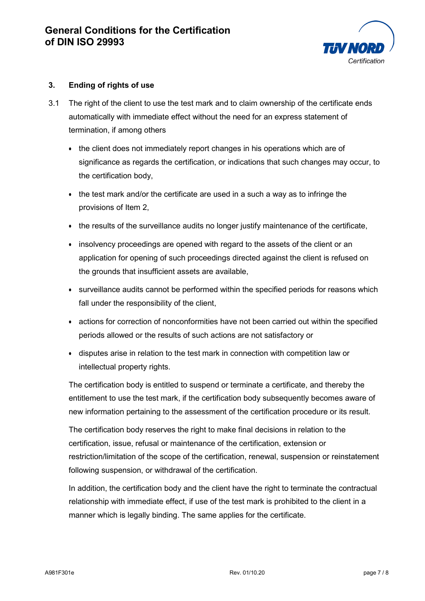

## **3. Ending of rights of use**

- 3.1 The right of the client to use the test mark and to claim ownership of the certificate ends automatically with immediate effect without the need for an express statement of termination, if among others
	- the client does not immediately report changes in his operations which are of significance as regards the certification, or indications that such changes may occur, to the certification body,
	- the test mark and/or the certificate are used in a such a way as to infringe the provisions of Item 2,
	- the results of the surveillance audits no longer justify maintenance of the certificate,
	- insolvency proceedings are opened with regard to the assets of the client or an application for opening of such proceedings directed against the client is refused on the grounds that insufficient assets are available,
	- surveillance audits cannot be performed within the specified periods for reasons which fall under the responsibility of the client,
	- actions for correction of nonconformities have not been carried out within the specified periods allowed or the results of such actions are not satisfactory or
	- disputes arise in relation to the test mark in connection with competition law or intellectual property rights.

The certification body is entitled to suspend or terminate a certificate, and thereby the entitlement to use the test mark, if the certification body subsequently becomes aware of new information pertaining to the assessment of the certification procedure or its result.

The certification body reserves the right to make final decisions in relation to the certification, issue, refusal or maintenance of the certification, extension or restriction/limitation of the scope of the certification, renewal, suspension or reinstatement following suspension, or withdrawal of the certification.

In addition, the certification body and the client have the right to terminate the contractual relationship with immediate effect, if use of the test mark is prohibited to the client in a manner which is legally binding. The same applies for the certificate.